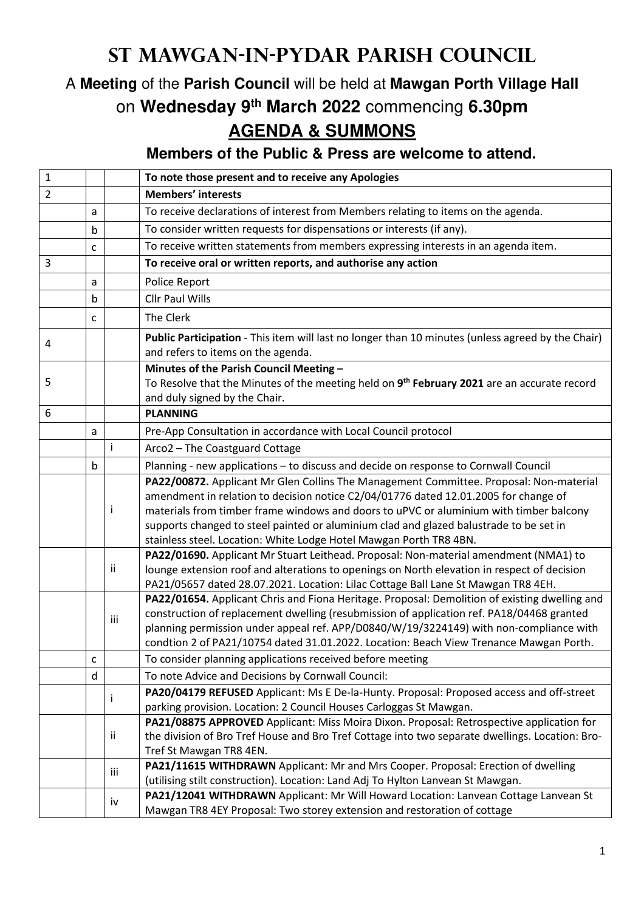## **St Mawgan-in-Pydar Parish Council**

## A **Meeting** of the **Parish Council** will be held at **Mawgan Porth Village Hall** on **Wednesday 9th March 2022** commencing **6.30pm AGENDA & SUMMONS**

**Members of the Public & Press are welcome to attend.** 

| $\mathbf{1}$   |   |     | To note those present and to receive any Apologies                                                                                                                                  |
|----------------|---|-----|-------------------------------------------------------------------------------------------------------------------------------------------------------------------------------------|
| $\overline{2}$ |   |     | <b>Members' interests</b>                                                                                                                                                           |
|                | a |     | To receive declarations of interest from Members relating to items on the agenda.                                                                                                   |
|                | b |     | To consider written requests for dispensations or interests (if any).                                                                                                               |
|                | c |     | To receive written statements from members expressing interests in an agenda item.                                                                                                  |
| 3              |   |     | To receive oral or written reports, and authorise any action                                                                                                                        |
|                | a |     | Police Report                                                                                                                                                                       |
|                | b |     | <b>Cllr Paul Wills</b>                                                                                                                                                              |
|                | c |     | The Clerk                                                                                                                                                                           |
| 4              |   |     | Public Participation - This item will last no longer than 10 minutes (unless agreed by the Chair)<br>and refers to items on the agenda.                                             |
| 5              |   |     | Minutes of the Parish Council Meeting -                                                                                                                                             |
|                |   |     | To Resolve that the Minutes of the meeting held on 9 <sup>th</sup> February 2021 are an accurate record<br>and duly signed by the Chair.                                            |
| 6              |   |     | <b>PLANNING</b>                                                                                                                                                                     |
|                | a |     | Pre-App Consultation in accordance with Local Council protocol                                                                                                                      |
|                |   | ÷   | Arco2 - The Coastguard Cottage                                                                                                                                                      |
|                | b |     | Planning - new applications - to discuss and decide on response to Cornwall Council                                                                                                 |
|                |   |     | PA22/00872. Applicant Mr Glen Collins The Management Committee. Proposal: Non-material                                                                                              |
|                |   | Ť   | amendment in relation to decision notice C2/04/01776 dated 12.01.2005 for change of<br>materials from timber frame windows and doors to uPVC or aluminium with timber balcony       |
|                |   |     | supports changed to steel painted or aluminium clad and glazed balustrade to be set in<br>stainless steel. Location: White Lodge Hotel Mawgan Porth TR8 4BN.                        |
|                |   |     | PA22/01690. Applicant Mr Stuart Leithead. Proposal: Non-material amendment (NMA1) to                                                                                                |
|                |   | ii  | lounge extension roof and alterations to openings on North elevation in respect of decision                                                                                         |
|                |   |     | PA21/05657 dated 28.07.2021. Location: Lilac Cottage Ball Lane St Mawgan TR8 4EH.                                                                                                   |
|                |   | iii | PA22/01654. Applicant Chris and Fiona Heritage. Proposal: Demolition of existing dwelling and                                                                                       |
|                |   |     | construction of replacement dwelling (resubmission of application ref. PA18/04468 granted<br>planning permission under appeal ref. APP/D0840/W/19/3224149) with non-compliance with |
|                |   |     | condtion 2 of PA21/10754 dated 31.01.2022. Location: Beach View Trenance Mawgan Porth.                                                                                              |
|                | C |     | To consider planning applications received before meeting                                                                                                                           |
|                | d |     | To note Advice and Decisions by Cornwall Council:                                                                                                                                   |
|                |   |     | PA20/04179 REFUSED Applicant: Ms E De-la-Hunty. Proposal: Proposed access and off-street                                                                                            |
|                |   | Ť   | parking provision. Location: 2 Council Houses Carloggas St Mawgan.                                                                                                                  |
|                |   | ij  | PA21/08875 APPROVED Applicant: Miss Moira Dixon. Proposal: Retrospective application for                                                                                            |
|                |   |     | the division of Bro Tref House and Bro Tref Cottage into two separate dwellings. Location: Bro-                                                                                     |
|                |   |     | Tref St Mawgan TR8 4EN.                                                                                                                                                             |
|                |   | iii | PA21/11615 WITHDRAWN Applicant: Mr and Mrs Cooper. Proposal: Erection of dwelling                                                                                                   |
|                |   |     | (utilising stilt construction). Location: Land Adj To Hylton Lanvean St Mawgan.                                                                                                     |
|                |   | iv  | PA21/12041 WITHDRAWN Applicant: Mr Will Howard Location: Lanvean Cottage Lanvean St<br>Mawgan TR8 4EY Proposal: Two storey extension and restoration of cottage                     |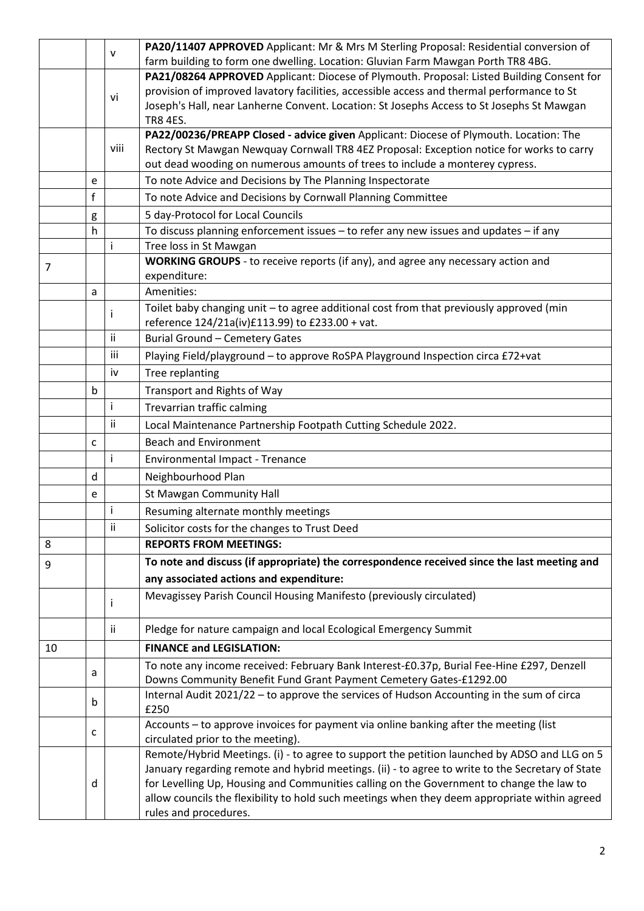|    |             | v    | PA20/11407 APPROVED Applicant: Mr & Mrs M Sterling Proposal: Residential conversion of                                                     |
|----|-------------|------|--------------------------------------------------------------------------------------------------------------------------------------------|
|    |             |      | farm building to form one dwelling. Location: Gluvian Farm Mawgan Porth TR8 4BG.                                                           |
|    |             |      | PA21/08264 APPROVED Applicant: Diocese of Plymouth. Proposal: Listed Building Consent for                                                  |
|    |             | vi   | provision of improved lavatory facilities, accessible access and thermal performance to St                                                 |
|    |             |      | Joseph's Hall, near Lanherne Convent. Location: St Josephs Access to St Josephs St Mawgan                                                  |
|    |             |      | <b>TR8 4ES.</b>                                                                                                                            |
|    |             |      | PA22/00236/PREAPP Closed - advice given Applicant: Diocese of Plymouth. Location: The                                                      |
|    |             | viii | Rectory St Mawgan Newquay Cornwall TR8 4EZ Proposal: Exception notice for works to carry                                                   |
|    |             |      | out dead wooding on numerous amounts of trees to include a monterey cypress.                                                               |
|    | e           |      | To note Advice and Decisions by The Planning Inspectorate                                                                                  |
|    | $\mathsf f$ |      | To note Advice and Decisions by Cornwall Planning Committee                                                                                |
|    | g           |      | 5 day-Protocol for Local Councils                                                                                                          |
|    | h           |      | To discuss planning enforcement issues - to refer any new issues and updates - if any                                                      |
|    |             | i    | Tree loss in St Mawgan                                                                                                                     |
| 7  |             |      | WORKING GROUPS - to receive reports (if any), and agree any necessary action and<br>expenditure:                                           |
|    |             |      | Amenities:                                                                                                                                 |
|    | a           |      |                                                                                                                                            |
|    |             |      | Toilet baby changing unit - to agree additional cost from that previously approved (min<br>reference 124/21a(iv)£113.99) to £233.00 + vat. |
|    |             | ii.  | <b>Burial Ground - Cemetery Gates</b>                                                                                                      |
|    |             | iii  | Playing Field/playground - to approve RoSPA Playground Inspection circa £72+vat                                                            |
|    |             | iv   | Tree replanting                                                                                                                            |
|    | b           |      |                                                                                                                                            |
|    |             | İ    | Transport and Rights of Way                                                                                                                |
|    |             |      | Trevarrian traffic calming                                                                                                                 |
|    |             | ii   | Local Maintenance Partnership Footpath Cutting Schedule 2022.                                                                              |
|    | C           |      | <b>Beach and Environment</b>                                                                                                               |
|    |             | i    | Environmental Impact - Trenance                                                                                                            |
|    | d           |      | Neighbourhood Plan                                                                                                                         |
|    | e           |      | St Mawgan Community Hall                                                                                                                   |
|    |             | i    | Resuming alternate monthly meetings                                                                                                        |
|    |             | Ϊİ.  | Solicitor costs for the changes to Trust Deed                                                                                              |
| 8  |             |      | <b>REPORTS FROM MEETINGS:</b>                                                                                                              |
| 9  |             |      | To note and discuss (if appropriate) the correspondence received since the last meeting and                                                |
|    |             |      | any associated actions and expenditure:                                                                                                    |
|    |             | Ť    | Mevagissey Parish Council Housing Manifesto (previously circulated)                                                                        |
|    |             | ii.  | Pledge for nature campaign and local Ecological Emergency Summit                                                                           |
| 10 |             |      | <b>FINANCE and LEGISLATION:</b>                                                                                                            |
|    |             |      | To note any income received: February Bank Interest-£0.37p, Burial Fee-Hine £297, Denzell                                                  |
|    | a           |      | Downs Community Benefit Fund Grant Payment Cemetery Gates-£1292.00                                                                         |
|    | b           |      | Internal Audit 2021/22 - to approve the services of Hudson Accounting in the sum of circa<br>£250                                          |
|    |             |      | Accounts - to approve invoices for payment via online banking after the meeting (list                                                      |
|    | C           |      | circulated prior to the meeting).                                                                                                          |
|    |             |      | Remote/Hybrid Meetings. (i) - to agree to support the petition launched by ADSO and LLG on 5                                               |
|    |             |      | January regarding remote and hybrid meetings. (ii) - to agree to write to the Secretary of State                                           |
|    | d           |      | for Levelling Up, Housing and Communities calling on the Government to change the law to                                                   |
|    |             |      | allow councils the flexibility to hold such meetings when they deem appropriate within agreed                                              |
|    |             |      | rules and procedures.                                                                                                                      |